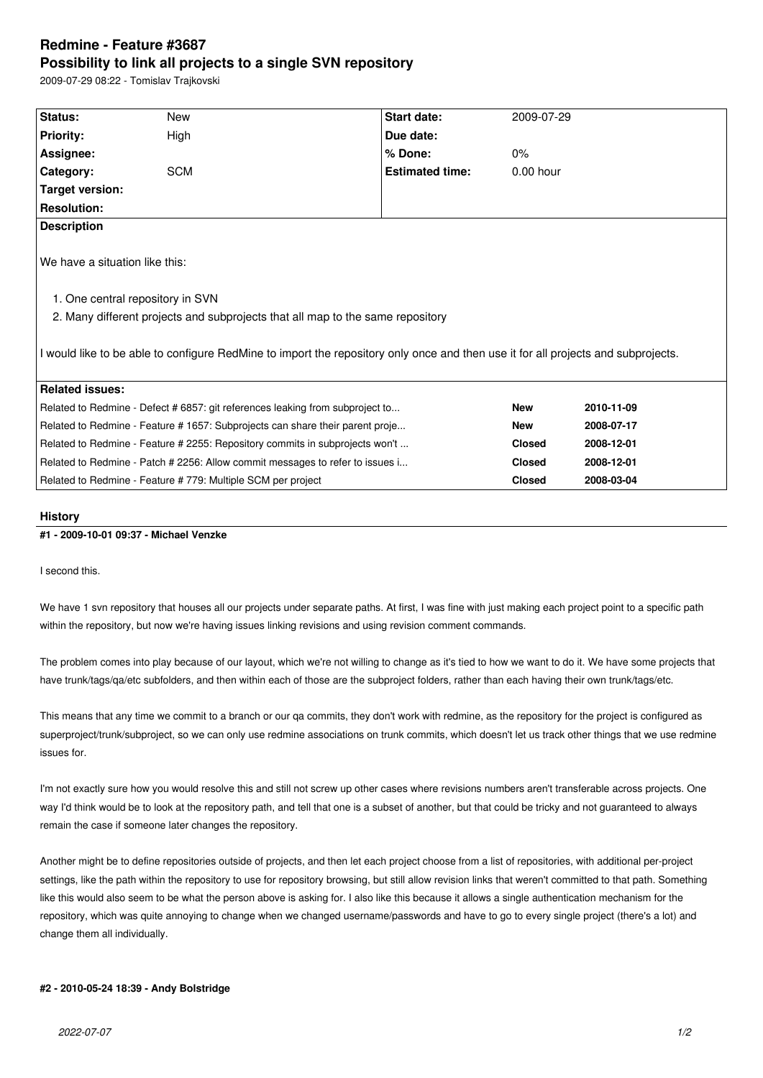# **Redmine - Feature #3687 Possibility to link all projects to a single SVN repository**

2009-07-29 08:22 - Tomislav Trajkovski

| I would like to be able to configure RedMine to import the repository only once and then use it for all projects and subprojects. |
|-----------------------------------------------------------------------------------------------------------------------------------|

#### **History**

### **#1 - 2009-10-01 09:37 - Michael Venzke**

I second this.

We have 1 svn repository that houses all our projects under separate paths. At first, I was fine with just making each project point to a specific path within the repository, but now we're having issues linking revisions and using revision comment commands.

The problem comes into play because of our layout, which we're not willing to change as it's tied to how we want to do it. We have some projects that have trunk/tags/qa/etc subfolders, and then within each of those are the subproject folders, rather than each having their own trunk/tags/etc.

This means that any time we commit to a branch or our qa commits, they don't work with redmine, as the repository for the project is configured as superproject/trunk/subproject, so we can only use redmine associations on trunk commits, which doesn't let us track other things that we use redmine issues for.

I'm not exactly sure how you would resolve this and still not screw up other cases where revisions numbers aren't transferable across projects. One way I'd think would be to look at the repository path, and tell that one is a subset of another, but that could be tricky and not guaranteed to always remain the case if someone later changes the repository.

Another might be to define repositories outside of projects, and then let each project choose from a list of repositories, with additional per-project settings, like the path within the repository to use for repository browsing, but still allow revision links that weren't committed to that path. Something like this would also seem to be what the person above is asking for. I also like this because it allows a single authentication mechanism for the repository, which was quite annoying to change when we changed username/passwords and have to go to every single project (there's a lot) and change them all individually.

### **#2 - 2010-05-24 18:39 - Andy Bolstridge**